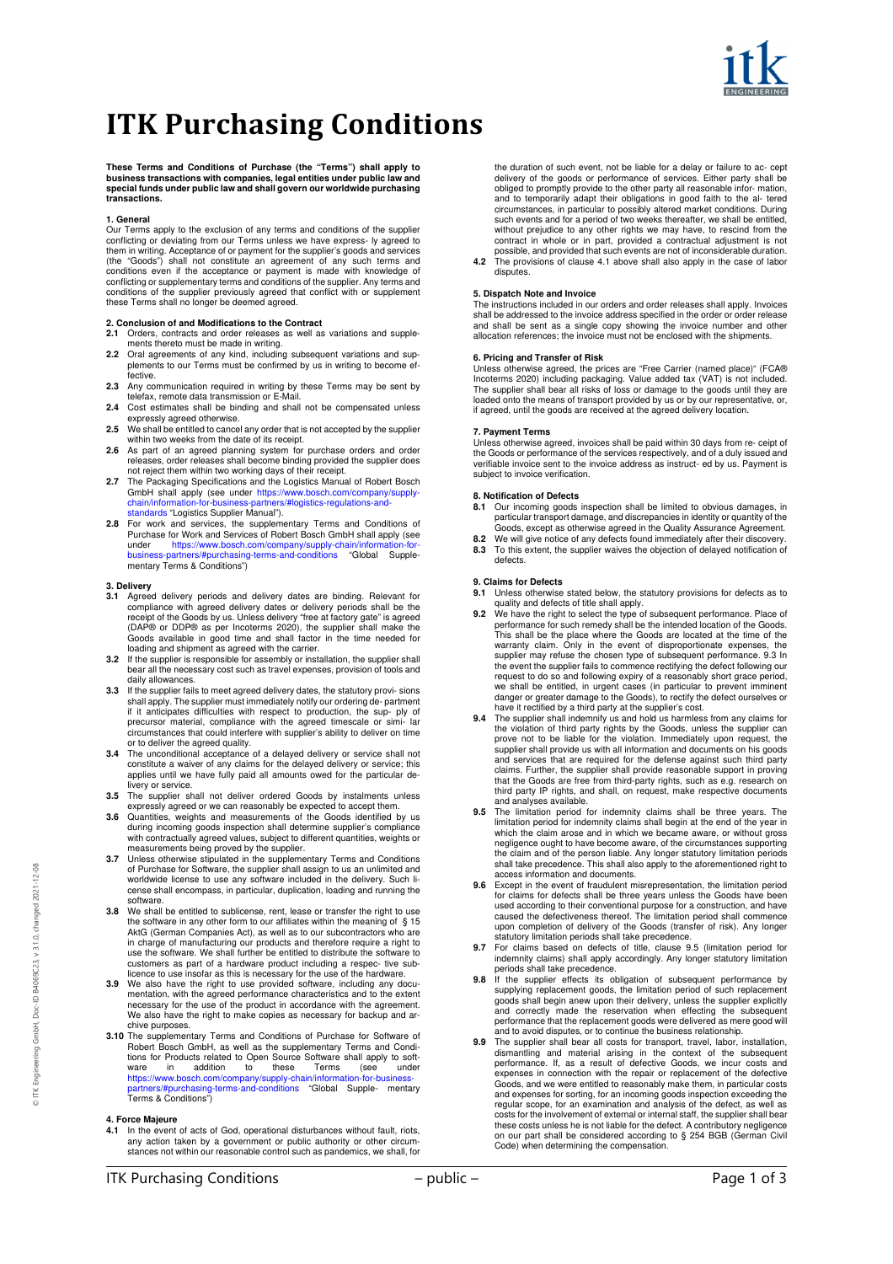

# **ITK Purchasing Conditions**

**These Terms and Conditions of Purchase (the "Terms") shall apply to business transactions with companies, legal entities under public law and special funds under public law and shall govern our worldwide purchasing transactions.** 

# **1. General**

Our Terms apply to the exclusion of any terms and conditions of the supplier conflicting or deviating from our Terms unless we have express- ly agreed to them in writing. Acceptance of or payment for the supplier's goods and services<br>(the "Goods") shall not constitute an agreement of any such terms and<br>conditions even if the acceptance or payment is made with knowledge of<br>c these Terms shall no longer be deemed agreed.

- **2. Conclusion of and Modifications to the Contract 2.1** Orders, contracts and order releases as well as variations and supplements thereto must be made in writing.
- **2.2** Oral agreements of any kind, including subsequent variations and supplements to our Terms must be confirmed by us in writing to become effective.
- **2.3** Any communication required in writing by these Terms may be sent by telefax, remote data transmission or E-Mail.
- **2.4** Cost estimates shall be binding and shall not be compensated unless expressly agreed otherwise.
- **2.5** We shall be entitled to cancel any order that is not accepted by the supplier within two weeks from the date of its receipt.
- 
- 2.6 As part of an agreed planning system for purchase orders and order<br>releases, order releases shall become binding provided the supplier does<br>not reject them within two working days of their receipt.<br>2.7 The Packaging Sp standards "Logistics Supplier Manual").
- **2.8** For work and services, the supplementary Terms and Conditions of Purchase for Work and Services of Robert Bosch GmbH shall apply (see under https://www.bosch.com/company/supply-chain/information-for-business-partners/#purchasing-terms-and-conditions "Global Supple-mentary Terms & Conditions")

### **3. Delivery**

- 3.1 Agreed delivery periods and delivery dates are binding. Relevant for compliance with agreed delivery dates or delivery periods shall be the receipt of the Goods by us. Unless delivery "free at factory gate" is agreed (
- **3.2** If the supplier is responsible for assembly or installation, the supplier shall bear all the necessary cost such as travel expenses, provision of tools and daily allowances.
- **3.3** If the supplier fails to meet agreed delivery dates, the statutory provi- sions shall apply. The supplier must immediately notify our ordering de- partment if it anticipates difficulties with respect to production, the sup- ply of precursor material, compliance with the agreed timescale or simi- lar circumstances that could interfere with supplier's ability to deliver on time or to deliver the agreed quality.
- 3.4 The unconditional acceptance of a delayed delivery or service shall not constitute a waiver of any claims for the delayed delivery or service; this applies until we have fully paid all amounts owed for the particular d livery or service.
- **3.5** The supplier shall not deliver ordered Goods by instalments unless expressly agreed or we can reasonably be expected to accept them. **3.6** Quantities, weights and measurements of the Goods identified by us
- during incoming goods inspection shall determine supplier's compliance with contractually agreed values, subject to different quantities, weights or
- measurements being proved by the supplier.<br>**3.7** Unless otherwise stipulated in the supplementary Terms and Conditions<br>of Purchase for Software, the supplier shall assign to us an unlimited and worldwide license to use any software included in the delivery. Such li-cense shall encompass, in particular, duplication, loading and running the software.
- **3.8** We shall be entitled to sublicense, rent, lease or transfer the right to use the software in any other form to our affiliates within the meaning of § 15 AktG (German Companies Act), as well as to our subcontractors who are in charge of manufacturing our products and therefore require a right to use the software. We shall further be entitled to distribute the software to customers as part of a hardware product including a respec- tive sub-licence to use insofar as this is necessary for the use of the hardware.
- **3.9** We also have the right to use provided software, including any docu-mentation, with the agreed performance characteristics and to the extent necessary for the use of the product in accordance with the agreement. We also have the right to make copies as necessary for backup and archive purposes.
- **3.10** The supplementary Terms and Conditions of Purchase for Software of Robert Bosch GmbH, as well as the supplementary Terms and Condi-tions for Products related to Open Source Software shall apply to software in addition to these Terms (see under https://www.bosch.com/company/supply-chain/information-for-business-partners/#purchasing-terms-and-conditions "Global Supple- mentary Terms & Conditions")

### **4. Force Majeure**

4.1 In the event of acts of God, operational disturbances without fault, riots,<br>any action taken by a government or public authority or other circum-<br>stances not within our reasonable control such as pandemics, we shall, f

possible, and provided that such events are not of inconsiderable duration. **4.2** The provisions of clause 4.1 above shall also apply in the case of labor disputes.

# **5. Dispatch Note and Invoice**

The instructions included in our orders and order releases shall apply. Invoices shall be addressed to the invoice address specified in the order or order release<br>and shall be sent as a single copy showing the invoice number and other<br>allocation references; the invoice must not be enclosed with the shi

### **6. Pricing and Transfer of Risk**

Unless otherwise agreed, the prices are "Free Carrier (named place)" (FCA®)<br>Incoterms 2020) including packaging. Value added tax (VAT) is not included.<br>The supplier shall bear all risks of loss or damage to the goods until

### **7. Payment Terms**

Unless otherwise agreed, invoices shall be paid within 30 days from re- ceipt of the Goods or performance of the services respectively, and of a duly issued and verifiable invoice sent to the invoice address as instruct- ed by us. Payment is subject to invoice verification.

### **8. Notification of Defects**

- **8.1** Our incoming goods inspection shall be limited to obvious damages, in particular transport damage, and discrepancies in identity or quantity of the<br>Goods, except as otherwise agreed in the Quality Assurance Agreement.<br>8.2 We will give notice of any defects found immediately after their disco
- **8.3** To this extent, the supplier waives the objection of delayed notification of defects.

# **9. Claims for Defects**

- **9.1** Unless otherwise stated below, the statutory provisions for defects as to quality and defects of title shall apply.
- **9.2** We have the right to select the type of subsequent performance. Place of performance for such remedy shall be the intended location of the Goods. This shall be the place where the Goods are located at the time of the warranty claim. Only in the event of disproportionate expenses, the supplier may refuse the chosen type of subsequent performance. 9.3 In the event the supplier fails to commence rectifying the defect following our request to do so and following expiry of a reasonably short grace period,<br>we shall be entitled, in urgent cases (in particular to prevent imminent<br>danger or greater damage to the Goods), to recitify the defect ourselves or
- **9.4** The supplier shall indemnify us and hold us harmless from any claims for the violation of third party rights by the Goods, unless the supplier can prove not to be liable for the violation. Immediately upon request, the supplier shall provide us with all information and documents on his goods and services that are required for the defense against such third party claims. Further, the supplier shall provide reasonable support in proving that the Goods are free from third-party rights, such as e.g. research on third party IP rights, and shall, on request, make respective documents and analyses available.
- **9.5** The limitation period for indemnity claims shall be three years. The limitation period for indemnity claims shall begin at the end of the year in which the claim arose and in which we became aware, or without gross negligence ought to have become aware, of the circumstances supporting the claim and of the person liable. Any longer statutory limitation periods shall take precedence. This shall also apply to the aforementioned right to
- access information and documents. **9.6** Except in the event of fraudulent misrepresentation, the limitation period for claims for defects shall be three years unless the Goods have been<br>used according to their conventional purpose for a construction, and have<br>caused the defectiveness thereof. The limitation period shall commence upon completion of delivery of the Goods (transfer of risk). Any longer statutory limitation periods shall take precedence.
- **9.7** For claims based on defects of title, clause 9.5 (limitation period for indemnity claims) shall apply accordingly. Any longer statutory limitation
- periods shall take precedence. **9.8** If the supplier effects its obligation of subsequent performance by supplying replacement goods, the limitation period of such replacement goods shall begin anew upon their delivery, unless the supplier explicitly and correctly made the reservation when effecting the subsequent performance that the replacement goods were delivered as mere good will and to avoid disputes, or to continue the business relationship.
- **9.9** The supplier shall bear all costs for transport, travel, labor, installation, dismantling and material arising in the context of the subsequent performance. If, as a result of defective Goods, we incur costs and expenses in connection with the repair or replacement of the defective Goods, and we were entitled to reasonably make them, in particular costs and expenses for sorting, for an incoming goods inspection exceeding the regular scope, for an examination and analysis of the defect, as well as costs for the involvement of external or internal staff, the supplier shall bear these costs unless he is not liable for the defect. A contributory negligence on our part shall be considered according to § 254 BGB (German Civil Code) when determining the compensation.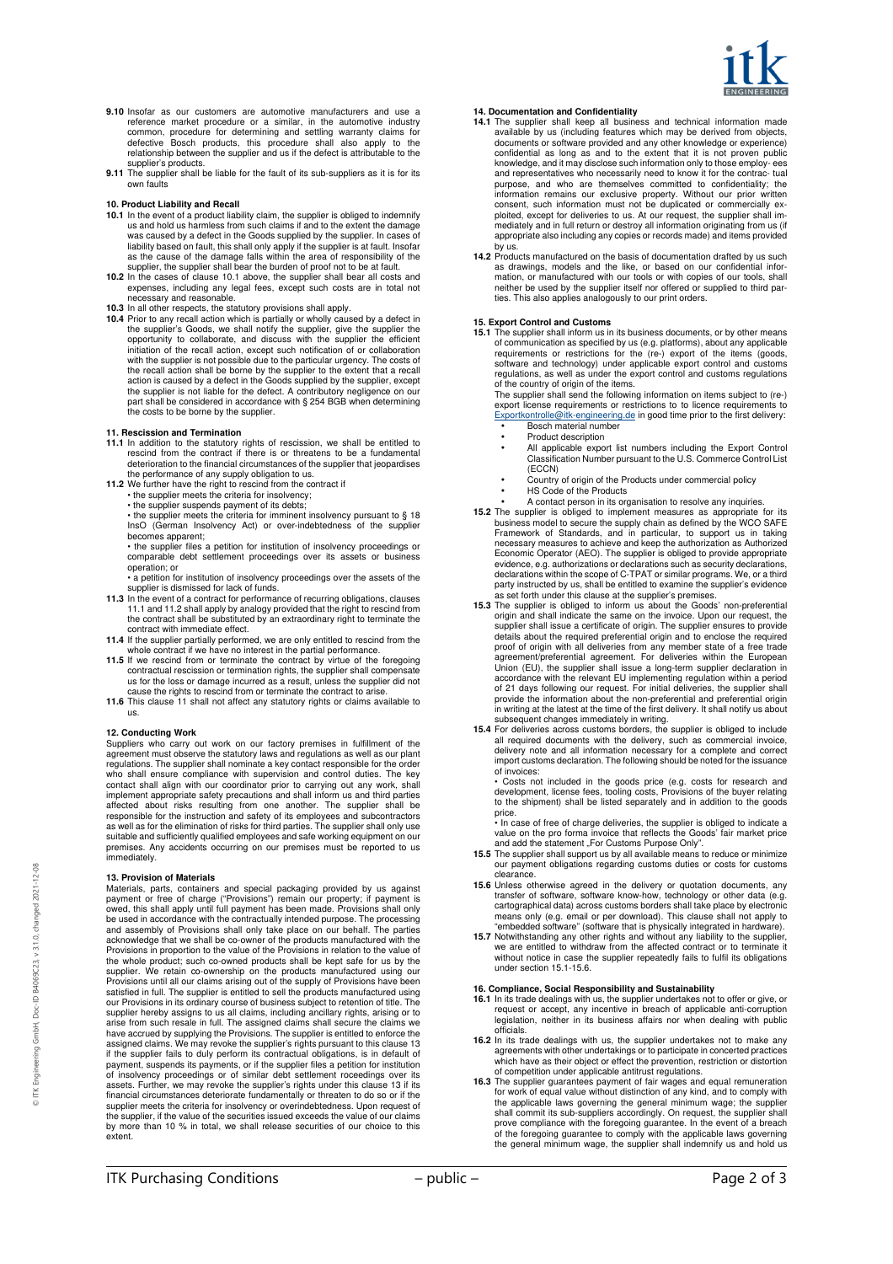

- **9.10** Insofar as our customers are automotive manufacturers and use a reference market procedure or a similar, in the automotive industry common, procedure for determining and settling warranty claims for defective Bosch products, this procedure shall also apply to the relationship between the supplier and us if the defect is attributable to the
- supplier's products. **9.11** The supplier shall be liable for the fault of its sub-suppliers as it is for its own faults

- **10. Product Liability and Recall 10.1** In the event of a product liability claim, the supplier is obliged to indemnify us and hold us harmless from such claims if and to the extent the damage was caused by a defect in the Goods supplied by the supplier. In cases of liability based on fault, this shall only apply if the supplier is at fault. Insofar<br>as the cause of the damage falls within the area of responsibility of the<br>supplier, the supplier shall bear the burden of proof not to be
- 
- 
- necessary and reasonable.<br>
10.3 In all other respects, the statutory provisions shall apply.<br>
10.3 In all other respects, the statutory provisions shall apply.<br>
10.4 Prior to any recall action which is partially or wholly with the supplier is not possible due to the particular urgency. The costs of the recall action shall be borne by the supplier to the extent that a recall action is caused by a defect in the Goods supplied by the supplier, except the supplier is not liable for the defect. A contributory negligence on our part shall be considered in accordance with § 254 BGB when determining the costs to be borne by the supplier.

### **11. Rescission and Termination**

- 11.1 In addition to the statutory rights of rescission, we shall be entitled to rescind from the contract if there is or threatens to be a fundamental deterioration to the financial circumstances of the supplier that jeopa
- the performance of any supply obligation to us. **11.2** We further have the right to rescind from the contract if
	- the supplier meets the criteria for insolvency;
	-
	- the supplier suspends payment of its debts; the supplier meets the criteria for imminent insolvency pursuant to § 18 InsO (German Insolvency Act) or over-indebtedness of the supplier becomes apparent;
	- the supplier files a petition for institution of insolvency proceedings or comparable debt settlement proceedings over its assets or business operation; or
	- a petition for institution of insolvency proceedings over the assets of the supplier is dismissed for lack of funds.
- **11.3** In the event of a contract for performance of recurring obligations, clauses 11.1 and 11.2 shall apply by analogy provided that the right to rescind from the contract shall be substituted by an extraordinary right to terminate the contract with immediate effect.
- **11.4** If the supplier partially performed, we are only entitled to rescind from the whole contract if we have no interest in the partial performance.
- **11.5** If we rescind from or terminate the contract by virtue of the foregoing contractual rescission or termination rights, the supplier shall compensate us for the loss or damage incurred as a result, unless the supplier did not cause the rights to rescind from or terminate the contract to arise.
- **11.6** This clause 11 shall not affect any statutory rights or claims available to us.

# **12. Conducting Work**

Suppliers who carry out work on our factory premises in fulfillment of the agreement must observe the statutory laws and regulations as well as our plant regulations. The supplier shall nominate a key contact responsible for the order who shall ensure compliance with supervision and control duties. The key contact shall align with our coordinator prior to carrying out any w suitable and sufficiently qualified employees and safe working equipment on our premises. Any accidents occurring on our premises must be reported to us immediately.

### **13. Provision of Materials**

Materials, parts, containers and special packaging provided by us against payment or free of charge ("Provisions") remain our property; if payment is owed, this shall apply until full payment has been made. Provisions shall only<br>be used in accordance with the contractually intended purpose. The processing<br>and assembly of Provisions shall only take place on our behalf. T Provisions in proportion to the value of the Provisions in relation to the value of the whole product; such co-owned products shall be kept safe for us by the supplier. We retain co-ownership on the products manufactured using our Provisions until all our claims arising out of the supply of Provisions have been satisfied in full. The supplier is entitled to sell the products manufactured using our Provisions in its ordinary course of business subject to retention of title. The supplier hereby assigns to us all claims, including ancillary rights, arising or to arise from such resale in full. The assigned claims shall secure the claims we have accrued by supplying the Provisions. The supplier is e payment, suspends its payments, or if the supplier files a petition for institution of insolvency proceedings or of similar debt settlement roceedings over its assets. Further, we may revoke the supplier's rights under this clause 13 if its financial circumstances deteriorate fundamentally or threaten to do so or if the supplier meets the criteria for insolvency or overindebtedness. Upon request of<br>the supplier, if the value of the securities issued exceeds the value of our claims<br>by more than 10 % in total, we shall release securities of extent.

# **14. Documentation and Confidentiality**

- **14.1** The supplier shall keep all business and technical information made available by us (including features which may be derived from objects, documents or software provided and any other knowledge or experience) confidential as long as and to the extent that it is not proven public knowledge, and it may disclose such information only to those employ- ees and representatives who necessarily need to know it for the contrac- tual purpose, and who are themselves committed to confidentiality; the information remains our exclusive property. Without our prior written consent, such information must not be duplicated or commercially ex-<br>ploited, except for deliveries to us. At our request, the supplier shall im-<br>mediately and in full return or destroy all information originating from us
- by us.<br>**14.2** Products manufactured on the basis of documentation drafted by us such<br>as drawings, models and the like, or based on our confidential information, or manufactured with our tools or with copies of our tools, shall neither be used by the supplier itself nor offered or supplied to third parties. This also applies analogously to our print orders.

### **15. Export Control and Customs**

**15.1** The supplier shall inform us in its business documents, or by other means of communication as specified by us (e.g. platforms), about any applicable requirements or restrictions for the (re-) export of the items (goods,<br>software and technology) under applicable export control and customs<br>regulations, as well as under the export control and customs regulations<br>of the co

The supplier shall send the following information on items subject to (re-) export license requirements or restrictions to to licence requirements to Exportkontrolle@itk-engineering.de in good time prior to the first delivery: • Bosch material number

- Product description
- All applicable export list numbers including the Export Control Classification Number pursuant to the U.S. Commerce Control List (ECCN)
- Country of origin of the Products under commercial polic
- HS Code of the Products
- A contact person in its organisation to resolve any inquiries.
- **15.2** The supplier is obliged to implement measures as appropriate for its business model to secure the supply chain as defined by the WCO SAFE Framework of Standards, and in particular, to support us in taking<br>necessary measures to achieve and keep the authorization as Authorized<br>Economic Operator (AEO). The supplier is obliged to provide appropriate<br>evidence, e.
- party instructed by us, shall be entitled to examine the supplier's evidence<br>as set forth under this clause at the supplier's premises.<br>**15.3** The supplier is obliged to inform us about the Goods' non-preferential<br>origin a supplier shall issue a certificate of origin. The supplier ensures to provide details about the required preferential origin and to enclose the required proof of origin with all deliveries from any member state of a free trade agreement/preferential agreement. For deliveries within the European Union (EU), the supplier shall issue a long-term supplier declaration in accord provide the information about the non-preferential and preferential origin in writing at the latest at the time of the first delivery. It shall notify us about
- subsequent changes immediately in writing. **15.4** For deliveries across customs borders, the supplier is obliged to include all required documents with the delivery, such as commercial invoice, delivery note and all information necessary for a complete and correct import customs declaration. The following should be noted for the issuance of invoices:

• Costs not included in the goods price (e.g. costs for research and development, license fees, tooling costs, Provisions of the buyer relating to the shipment) shall be listed separately and in addition to the goods

price. • In case of free of charge deliveries, the supplier is obliged to indicate a value on the pro forma invoice that reflects the Goods' fair market price and add the statement "For Customs Purpose Only".

- **15.5** The supplier shall support us by all available means to reduce or minimize our payment obligations regarding customs duties or costs for customs clearance.
- **15.6** Unless otherwise agreed in the delivery or quotation documents, any transfer of software, software know-how, technology or other data (e.g. cartographical data) across customs borders shall take place by electronic means only (e.g. email or per download). This clause shall not apply to "embedded software" (software that is physically integrated in hardware).
- **15.7** Notwithstanding any other rights and without any liability to the supplier, we are entitled to withdraw from the affected contract or to terminate it without notice in case the supplier repeatedly fails to fulfil its obligations under section 15.1-15.6.

### **16. Compliance, Social Responsibility and Sustainability**

- **16.1** In its trade dealings with us, the supplier undertakes not to offer or give, or request or accept, any incentive in breach of applicable anti-corruption<br>legislation, neither in its business affairs nor when dealing officials.
- **16.2** In its trade dealings with us, the supplier undertakes not to make any agreements with other undertakings or to participate in concerted practices which have as their object or effect the prevention, restriction or distortion
- of competition under applicable antitrust regulations.<br>**16.3** The supplier guarantees payment of fair wages and equal remuneration<br>for work of equal value without distinction of any kind, and to comply with the applicable laws governing the general minimum wage; the supplier<br>shall commit its sub-suppliers accordingly. On request, the supplier shall<br>prove compliance with the foregoing guarantee. In the event of a breach<br>of the